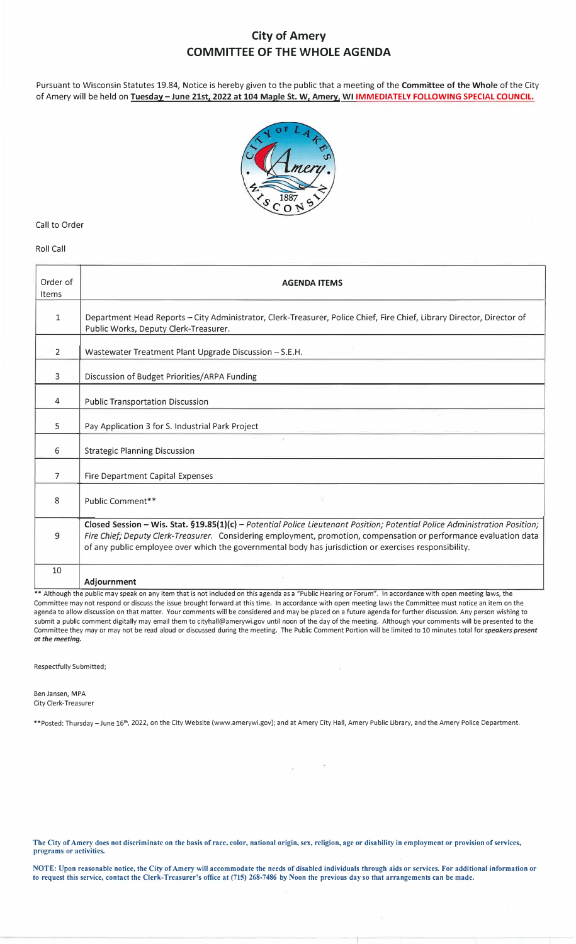### **City of Amery COMMITTEE OF THE WHOLE AGENDA**

Pursuant to Wisconsin Statutes 19.84, Notice is hereby given to the public that a meeting of the **Committee of the Whole** of the City of Amery will be held on **Tuesday-June 21st, 2022 at 104 Maple St. W, Amery, WI IMMEDIATELY FOLLOWING SPECIAL COUNCIL.**



### Call to Order

#### Roll Call

| Order of<br>Items | <b>AGENDA ITEMS</b>                                                                                                                                                                                                                                                                                                                                       |
|-------------------|-----------------------------------------------------------------------------------------------------------------------------------------------------------------------------------------------------------------------------------------------------------------------------------------------------------------------------------------------------------|
| 1                 | Department Head Reports - City Administrator, Clerk-Treasurer, Police Chief, Fire Chief, Library Director, Director of<br>Public Works, Deputy Clerk-Treasurer.                                                                                                                                                                                           |
| $\overline{2}$    | Wastewater Treatment Plant Upgrade Discussion - S.E.H.                                                                                                                                                                                                                                                                                                    |
| 3                 | Discussion of Budget Priorities/ARPA Funding                                                                                                                                                                                                                                                                                                              |
| 4                 | <b>Public Transportation Discussion</b>                                                                                                                                                                                                                                                                                                                   |
| 5                 | Pay Application 3 for S. Industrial Park Project                                                                                                                                                                                                                                                                                                          |
| 6                 | $\sim$<br><b>Strategic Planning Discussion</b>                                                                                                                                                                                                                                                                                                            |
| 7                 | Fire Department Capital Expenses                                                                                                                                                                                                                                                                                                                          |
| 8                 | Public Comment**                                                                                                                                                                                                                                                                                                                                          |
| 9                 | Closed Session - Wis. Stat. §19.85(1)(c) - Potential Police Lieutenant Position; Potential Police Administration Position;<br>Fire Chief; Deputy Clerk-Treasurer. Considering employment, promotion, compensation or performance evaluation data<br>of any public employee over which the governmental body has jurisdiction or exercises responsibility. |
| 10                | Adjournment<br>** Although the public may speak on any item that is not included on this agenda as a "Public Hearing or Forum". In accordance with open meeting laws, the                                                                                                                                                                                 |

Committee may not respond or discuss the issue brought forward at this time. In accordance with open meeting laws the Committee must notice an item on the agenda to allow discussion on that matter. Your comments will be considered and may be placed on a future agenda for further discussion. Any person wishing to submit a public comment digitally may email them to cityhall@amerywi.gov until noon of the day of the meeting. Although your comments will be presented to the Committee they may or may not be read aloud or discussed during the meeting. The Public Comment Portion will be limited to 10 minutes total for *speakers present at the meeting.* 

 $\bar{\rm g}$ 

Respectfully Submitted;

Ben Jansen, MPA City Clerk-Treasurer

\*\*Posted: Thursday-June 16th , 2022, on the City Website (www.amerywi.gov); and at Amery City Hall, Amery Public Library, and the Amery Police Department.

 $\mathbbm{E}$  .

**The City of Amery docs not discriminate on the basis of race, color, national origin, sex, religion, age or disability in employment or provision of services, programs or activities.** 

**NOTE: Upon reasonable notice, the City of Amery will accommodate the needs of disabled individuals through aids or services. For additional information or to request this service, contact the Clerk-Treasurer's office at (715) 268-7486 by Noon the previous day so that arrangements can be made.**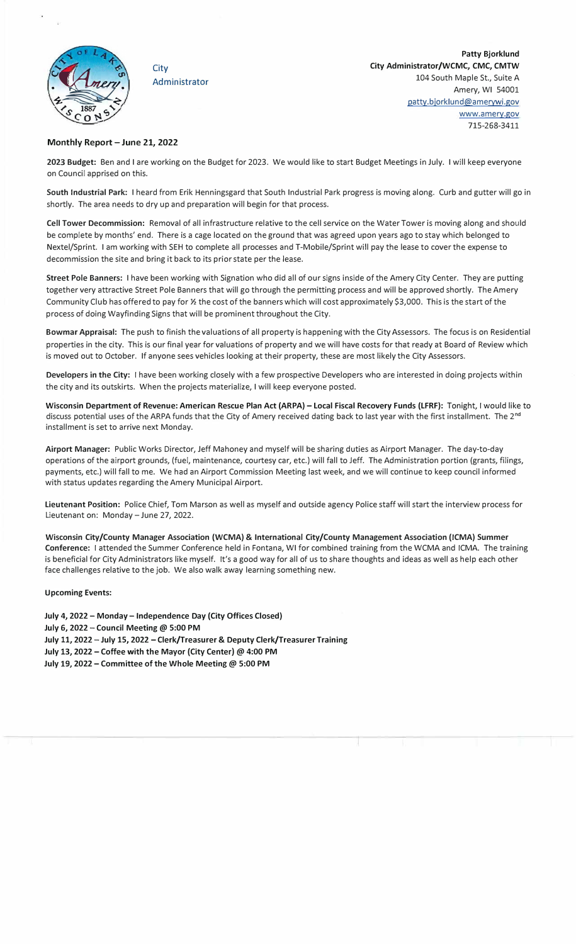<span id="page-1-0"></span>

**City** Administrator

**Patty Bjorklund City Administrator/WCMC, CMC, CMTW**  104 South Maple St., Suite A Amery, WI 54001 patty.bjorklund@amerywi.gov www.amery.gov 715-268-3411

### **Monthly Report - June 21, 2022**

**2023 Budget:** Ben and I are working on the Budget for 2023. We would like to start Budget Meetings in July. I will keep everyone on Council apprised on this.

**South Industrial Park:** I heard from Erik Henningsgard that South Industrial Park progress is moving along. Curb and gutter will go in shortly. The area needs to dry up and preparation will begin for that process.

**Cell Tower Decommission:** Removal of all infrastructure relative to the cell service on the Water Tower is moving along and should be complete by months' end. There is a cage located on the ground that was agreed upon years ago to stay which belonged to Nextel/Sprint. I am working with SEH to complete all processes and T-Mobile/Sprint will pay the lease to cover the expense to decommission the site and bring it back to its prior state per the lease.

**Street Pole Banners:** I have been working with Signation who did all of our signs inside of the Amery City Center. They are putting together very attractive Street Pole Banners that will go through the permitting process and will be approved shortly. The Amery Community Club has offered to pay for½ the cost of the banners which will cost approximately \$3,000. This is the start of the process of doing Wayfinding Signs that will be prominent throughout the City.

**Bowmar Appraisal:** The push to finish the valuations of all property is happening with the City Assessors. The focus is on Residential properties in the city. This is our final year for valuations of property and we will have costs for that ready at Board of Review which is moved out to October. If anyone sees vehicles looking at their property, these are most likely the City Assessors.

**Developers in the City:** I have been working closely with a few prospective Developers who are interested in doing projects within the city and its outskirts. When the projects materialize, I will keep everyone posted.

**Wisconsin Department of Revenue: American Rescue Plan Act (ARPA)** - **Local Fiscal Recovery Funds (LFRF):** Tonight, I would like to discuss potential uses of the ARPA funds that the City of Amery received dating back to last year with the first installment. The 2<sup>nd</sup> installment is set to arrive next Monday.

**Airport Manager:** Public Works Director, Jeff Mahoney and myself will be sharing duties as Airport Manager. The day-to-day operations of the airport grounds, (fuel, maintenance, courtesy car, etc.) will fall to Jeff. The Administration portion (grants, filings, payments, etc.) will fall to me. We had an Airport Commission Meeting last week, and we will continue to keep council informed with status updates regarding the Amery Municipal Airport.

**Lieutenant Position:** Police Chief, Tom Marson as well as myself and outside agency Police staff will start the interview process for Lieutenant on: Monday - June 27, 2022.

**Wisconsin City/County Manager Association (WCMA)** & **International City/County Management Association (ICMA) Summer Conference:** I attended the Summer Conference held in Fontana, WI for combined training from the WCMA and ICMA. The training is beneficial for City Administrators like myself. It's a good way for all of us to share thoughts and ideas as well as help each other face challenges relative to the job. We also walk away learning something new.

### **Upcoming Events:**

**July 4, 2022- Monday- Independence Day (City Offices Closed) July 6, 2022** - **Council Meeting@ 5:00 PM July 11, 2022** - **July 15, 2022** - **Clerk/Treasurer** & **Deputy Clerk/Treasurer Training** July 13, 2022 - Coffee with the Mayor (City Center) @ 4:00 PM July 19, 2022 - Committee of the Whole Meeting @ 5:00 PM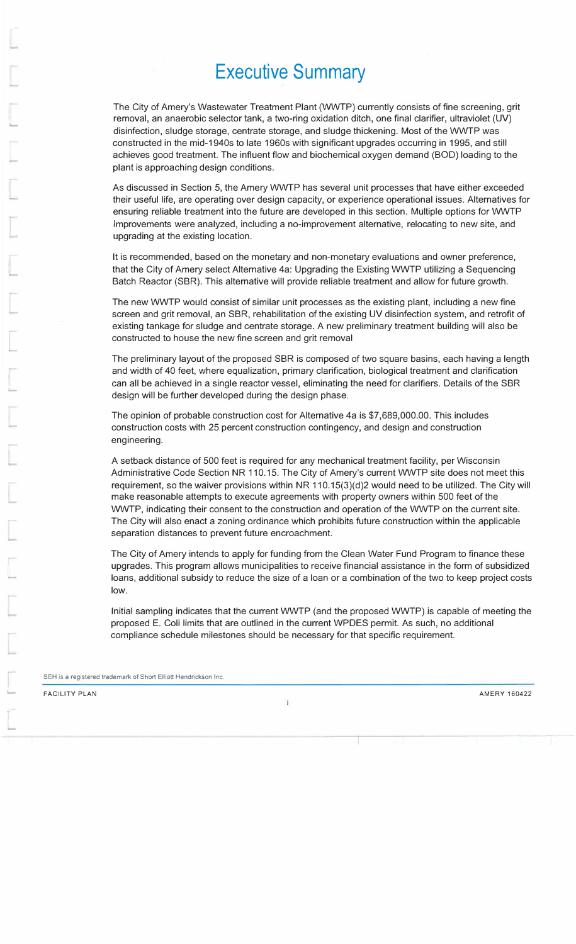# **Executive Summary**

The City of Amery's Wastewater Treatment Plant (WWTP) currently consists of fine screening, grit removal, an anaerobic selector tank, a two-ring oxidation ditch, one final clarifier, ultraviolet (UV) disinfection, sludge storage, centrate storage, and sludge thickening. Most of the WWTP was constructed in the mid-1940s to late 1960s with significant upgrades occurring in 1995, and still achieves good treatment. The influent flow and biochemical oxygen demand (BOD) loading to the plant is approaching design conditions.

As discussed in Section 5, the Amery WWTP has several unit processes that have either exceeded their useful life, are operating over design capacity, or experience operational issues. Alternatives for ensuring reliable treatment into the future are developed in this section. Multiple options for WWTP Improvements were analyzed, including a no-improvement alternative, relocating to new site, and upgrading at the existing location.

It is recommended, based on the monetary and non-monetary evaluations and owner preference, that the City of Amery select Alternative 4a: Upgrading the Existing WWTP utilizing a Sequencing Batch Reactor (SBR). This alternative will provide reliable treatment and allow for future growth.

The new WWTP would consist of similar unit processes as the existing plant, including a new fine screen and grit removal, an SBR, rehabilitation of the existing UV disinfection system, and retrofit of existing tankage for sludge and centrate storage. A new preliminary treatment building will also be constructed to house the new fine screen and grit removal

The preliminary layout of the proposed SBR is composed of two square basins, each having a length and width of 40 feet, where equalization, primary clarification, biological treatment and clarification can all be achieved in a single reactor vessel, eliminating the need for clarifiers. Details of the SBR design will be further developed during the design phase.

The opinion of probable construction cost for Alternative 4a is \$7,689,000.00. This includes construction costs with 25 percent construction contingency, and design and construction engineering.

A setback distance of 500 feet is required for any mechanical treatment facility, per Wisconsin Administrative Code Section NR 110.15. The City of Amery's current WWTP site does not meet this requirement, so the waiver provisions within NR 110.15(3)(d)2 would need to be utilized. The City will make reasonable attempts to execute agreements with property owners within 500 feet of the WWTP, indicating their consent to the construction and operation of the WWTP on the current site. The City will also enact a zoning ordinance which prohibits future construction within the applicable separation distances to prevent future encroachment.

The City of Amery intends to apply for funding from the Clean Water Fund Program to finance these upgrades. This program allows municipalities to receive financial assistance in the form of subsidized loans, additional subsidy to reduce the size of a loan or a combination of the two to keep project costs low.

Initial sampling indicates that the current WWTP (and the proposed WWTP) is capable of meeting the proposed E. Coli limits that are outlined in the current WPDES permit. As such, no additional compliance schedule milestones should be necessary for that specific requirement.

SEH is a registered trademark of Short Elliott Hendrickson Inc.

FACILITY PLAN AMERY 160422

-

-

<span id="page-2-0"></span>..\_

--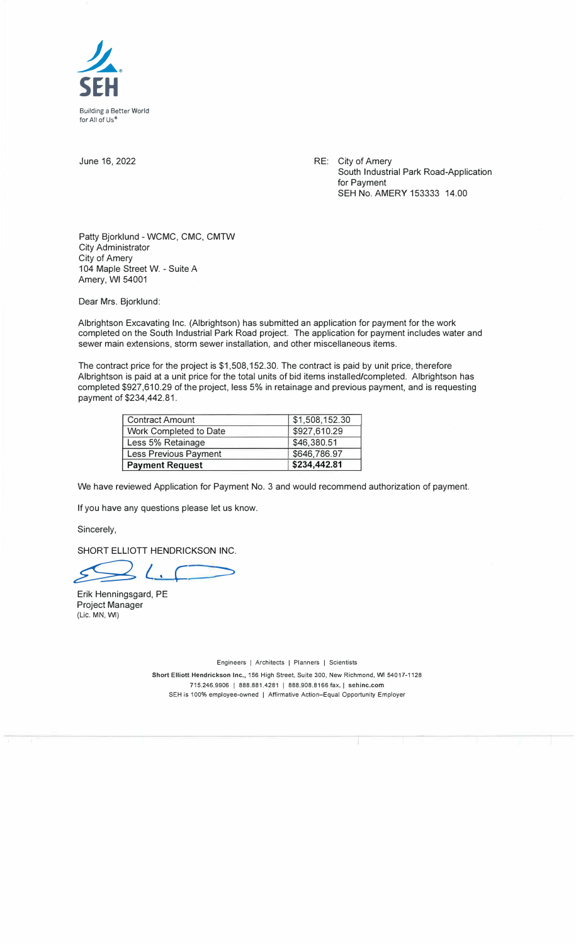<span id="page-3-0"></span>

June 16, 2022

RE: City of Amery South Industrial Park Road-Application for Payment SEH No. AMERY 153333 14.00

Patty Bjorklund - WCMC, CMC, CMTW City Administrator City of Amery 104 Maple Street W. - Suite A Amery, WI 54001

Dear Mrs. Bjorklund:

Albrightson Excavating Inc. (Albrightson) has submitted an application for payment for the work completed on the South Industrial Park Road project. The application for payment includes water and sewer main extensions, storm sewer installation, and other miscellaneous items.

The contract price for the project is \$1,508,152.30. The contract is paid by unit price, therefore Albrightson is paid at a unit price for the total units of bid items installed/completed. Albrightson has completed \$927,610.29 of the project, less 5% in retainage and previous payment, and is requesting payment of \$234,442.81.

| <b>Contract Amount</b> | \$1,508,152.30 |
|------------------------|----------------|
| Work Completed to Date | \$927,610.29   |
| Less 5% Retainage      | \$46,380.51    |
| Less Previous Payment  | \$646,786.97   |
| <b>Payment Request</b> | \$234,442.81   |

We have reviewed Application for Payment No. 3 and would recommend authorization of payment.

If you have any questions please let us know.

Sincerely,

SHORT ELLIOTT HENDRICKSON INC.

 $\geq$ *, (*   $\Rightarrow$ 

Erik Henningsgard, PE Project Manager (Lie. MN, WI)

Engineers | Architects | Planners | Scientists

Short Elliott Hendrickson Inc., 156 High Street, Suite 300, New Richmond, WI 54017-1128 715.246.9906 | 888.881.4281 | 888.908.8166 fax. | sehinc.com SEH is 100% employee-owned | Affirmative Action-Equal Opportunity Employer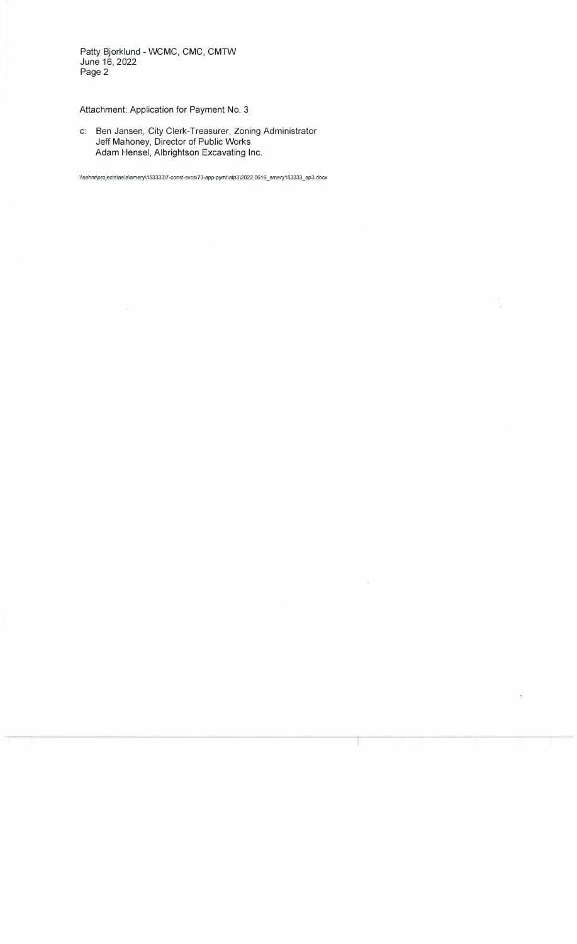Patty Bjorklund - WCMC, CMC, CMTW June 16, 2022 Page 2

### Attachment: Application for Payment No. 3

c: Ben Jansen, City Clerk-Treasurer, Zoning Administrator Jeff Mahoney, Director of Public Works Adam Hensel, Albrightson Excavating Inc.

l\sehnr\projects\aela\amery\15333317-const-svcsl 73-app-pymtlafp312022.0616 \_ amery153333 \_ ap3.docx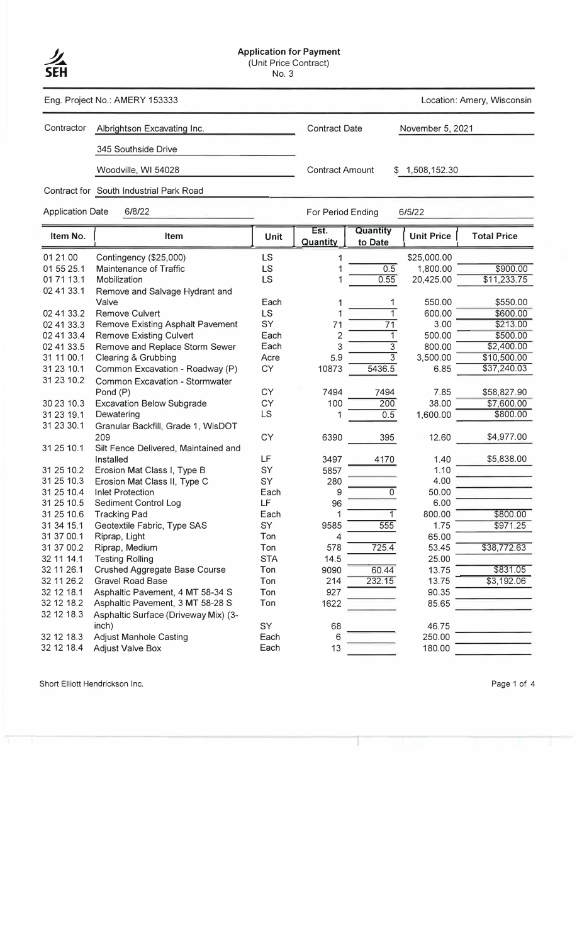

## **Application for Payment**<br>
(Unit Price Contract)

Eng. Project No.: AMERY 153333 Location: Amery, Wisconsin

Contractor Albrightson Excavating Inc. Contract Date November 5, 2021

Contract for South Industrial Park Road

345 Southside Drive

Woodville, WI 54028 Contract Amount \$ 1,508,152.30

Application Date 6/8/22 6/8/22 For Period Ending 6/5/22

| Item No.   | Item                                    | <b>Unit</b> | Est.<br>Quantity | Quantity<br>to Date | <b>Unit Price</b> | <b>Total Price</b> |
|------------|-----------------------------------------|-------------|------------------|---------------------|-------------------|--------------------|
| 01 21 00   | Contingency (\$25,000)                  | LS          | 1                |                     | \$25,000.00       |                    |
| 01 55 25.1 | Maintenance of Traffic                  | LS          |                  | 0.5                 | 1,800.00          | \$900.00           |
| 01 71 13.1 | Mobilization                            | LS          | 1                | 0.55                | 20,425.00         | \$11,233.75        |
| 02 41 33.1 | Remove and Salvage Hydrant and          |             |                  |                     |                   |                    |
|            | Valve                                   | Each        | 1                | 1                   | 550.00            | \$550.00           |
| 02 41 33.2 | <b>Remove Culvert</b>                   | LS          | 1                | 1                   | 600.00            | \$600.00           |
| 02 41 33.3 | <b>Remove Existing Asphalt Pavement</b> | SY          | 71               | $\overline{71}$     | 3.00              | \$213.00           |
| 02 41 33.4 | <b>Remove Existing Culvert</b>          | Each        | $\overline{c}$   | $\mathbf{1}$        | 500.00            | \$500.00           |
| 02 41 33.5 | Remove and Replace Storm Sewer          | Each        | 3                | $\overline{3}$      | 800.00            | \$2,400.00         |
| 31 11 00.1 | Clearing & Grubbing                     | Acre        | 5.9              | $\overline{3}$      | 3,500.00          | \$10,500.00        |
| 31 23 10.1 | Common Excavation - Roadway (P)         | CY          | 10873            | 5436.5              | 6.85              | \$37,240.03        |
| 31 23 10.2 | <b>Common Excavation - Stormwater</b>   |             |                  |                     |                   |                    |
|            | Pond (P)                                | CY          | 7494             | 7494                | 7.85              | \$58,827.90        |
| 30 23 10.3 | <b>Excavation Below Subgrade</b>        | CY          | 100              | 200                 | 38.00             | \$7,600.00         |
| 31 23 19.1 | Dewatering                              | LS          | 1                | 0.5                 | 1,600.00          | \$800.00           |
| 31 23 30.1 | Granular Backfill, Grade 1, WisDOT      |             |                  |                     |                   |                    |
|            | 209                                     | CY          | 6390             | 395                 | 12.60             | \$4,977.00         |
| 31 25 10.1 | Silt Fence Delivered, Maintained and    |             |                  |                     |                   |                    |
|            | Installed                               | LF          | 3497             | 4170                | 1.40              | \$5,838.00         |
| 31 25 10.2 | Erosion Mat Class I, Type B             | SY          | 5857             |                     | 1.10              |                    |
| 31 25 10.3 | Erosion Mat Class II, Type C            | SY          | 280              |                     | 4.00              |                    |
| 31 25 10.4 | <b>Inlet Protection</b>                 | Each        | 9                | $\overline{0}$      | 50.00             |                    |
| 31 25 10.5 | Sediment Control Log                    | LF          | 96               |                     | 6.00              |                    |
| 31 25 10.6 | <b>Tracking Pad</b>                     | Each        | 1                | 1                   | 800.00            | \$800.00           |
| 31 34 15.1 | Geotextile Fabric, Type SAS             | SY          | 9585             | 555                 | 1.75              | \$971.25           |
| 31 37 00.1 | Riprap, Light                           | Ton         | 4                |                     | 65.00             |                    |
| 31 37 00.2 | Riprap, Medium                          | Ton         | 578              | 725.4               | 53.45             | \$38,772.63        |
| 32 11 14.1 | <b>Testing Rolling</b>                  | <b>STA</b>  | 14.5             |                     | 25.00             |                    |
| 32 11 26.1 | <b>Crushed Aggregate Base Course</b>    | Ton         | 9090             | 60.44               | 13.75             | \$831.05           |
| 32 11 26.2 | <b>Gravel Road Base</b>                 | Ton         | 214              | 232.15              | 13.75             | \$3,192.06         |
| 32 12 18.1 | Asphaltic Pavement, 4 MT 58-34 S        | Ton         | 927              |                     | 90.35             |                    |
| 32 12 18.2 | Asphaltic Pavement, 3 MT 58-28 S        | Ton         | 1622             |                     | 85.65             |                    |
| 32 12 18.3 | Asphaltic Surface (Driveway Mix) (3-    |             |                  |                     |                   |                    |
|            | inch)                                   | SY          | 68               |                     | 46.75             |                    |
| 32 12 18.3 | <b>Adjust Manhole Casting</b>           | Each        | 6                |                     | 250.00            |                    |
| 32 12 18.4 | <b>Adjust Valve Box</b>                 | Each        | 13               |                     | 180.00            |                    |

Short Elliott Hendrickson Inc. **Page 1 of 4**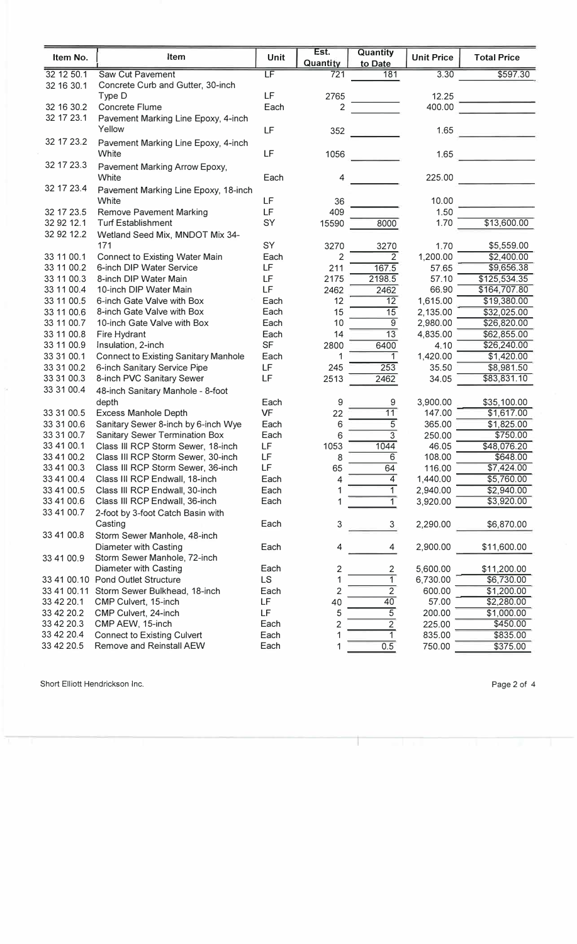|                          |                                                           |                          | Est.           | <b>Quantity</b>           |                   |                           |
|--------------------------|-----------------------------------------------------------|--------------------------|----------------|---------------------------|-------------------|---------------------------|
| Item No.                 | Item                                                      | <b>Unit</b>              | Quantity       | to Date                   | <b>Unit Price</b> | <b>Total Price</b>        |
| 32 12 50.1               | <b>Saw Cut Pavement</b>                                   | $\overline{\mathsf{LF}}$ | 721            | 181                       | 3.30              | \$597.30                  |
| 32 16 30.1               | Concrete Curb and Gutter, 30-inch                         |                          |                |                           |                   |                           |
|                          | Type D                                                    | LF                       | 2765           |                           | 12.25             |                           |
| 32 16 30.2               | Concrete Flume                                            | Each                     | $\overline{2}$ |                           | 400.00            |                           |
| 32 17 23.1               | Pavement Marking Line Epoxy, 4-inch                       |                          |                |                           |                   |                           |
|                          | Yellow                                                    | LF                       | 352            |                           | 1.65              |                           |
| 32 17 23.2               | Pavement Marking Line Epoxy, 4-inch                       |                          |                |                           |                   |                           |
|                          | White                                                     | LF                       | 1056           |                           | 1.65              |                           |
| 32 17 23.3               | Pavement Marking Arrow Epoxy,                             |                          |                |                           |                   |                           |
|                          | White                                                     | Each                     | 4              |                           | 225.00            |                           |
| 32 17 23.4               | Pavement Marking Line Epoxy, 18-inch                      |                          |                |                           |                   |                           |
|                          | White                                                     | LF                       | 36             |                           | 10.00             |                           |
| 32 17 23.5               | <b>Remove Pavement Marking</b>                            | LF                       | 409            |                           | 1.50              |                           |
| 32 92 12.1               | <b>Turf Establishment</b>                                 | SY                       | 15590          | 8000                      | 1.70              | \$13,600.00               |
| 32 92 12.2               | Wetland Seed Mix, MNDOT Mix 34-                           |                          |                |                           |                   |                           |
|                          | 171                                                       | SY                       | 3270           | 3270                      | 1.70              | \$5,559.00                |
| 33 11 00.1               | <b>Connect to Existing Water Main</b>                     | Each                     | 2              | $\overline{2}$            | 1,200.00          | \$2,400.00                |
| 33 11 00.2               | 6-inch DIP Water Service                                  | LF                       | 211            | 167.5                     | 57.65             | \$9,656.38                |
| 33 11 00.3               | 8-inch DIP Water Main                                     | LF                       | 2175           | 2198.5                    | 57.10             | \$125,534.35              |
| 33 11 00.4               | 10-inch DIP Water Main                                    | LF                       | 2462           | 2462                      | 66.90             | \$164,707.80              |
| 33 11 00.5               | 6-inch Gate Valve with Box                                | Each                     | 12             | 12                        | 1,615.00          | \$19,380.00               |
| 33 11 00.6               | 8-inch Gate Valve with Box                                | Each                     | 15             | 15                        | 2,135.00          | \$32,025.00               |
| 33 11 00.7               | 10-inch Gate Valve with Box                               | Each                     | 10             | $\overline{9}$            | 2,980.00          | \$26,820.00               |
| 33 11 00.8               | Fire Hydrant                                              | Each                     | 14             | 13                        | 4,835.00          | \$62,855.00               |
| 33 11 00.9               | Insulation, 2-inch                                        | <b>SF</b>                | 2800           | 6400<br>1                 | 4.10              | \$26,240.00               |
| 33 31 00.1<br>33 31 00.2 | <b>Connect to Existing Sanitary Manhole</b>               | Each<br>LF               | 1<br>245       | 253                       | 1,420.00          | \$1,420.00                |
| 33 31 00.3               | 6-inch Sanitary Service Pipe<br>8-inch PVC Sanitary Sewer | LF                       | 2513           | 2462                      | 35.50<br>34.05    | \$8,981.50<br>\$83,831.10 |
| 33 31 00.4               |                                                           |                          |                |                           |                   |                           |
|                          | 48-inch Sanitary Manhole - 8-foot<br>depth                | Each                     |                |                           | 3,900.00          |                           |
| 33 31 00.5               | <b>Excess Manhole Depth</b>                               | <b>VF</b>                | 9<br>22        | 9<br>11                   | 147.00            | \$35,100.00<br>\$1,617.00 |
| 33 31 00.6               | Sanitary Sewer 8-inch by 6-inch Wye                       | Each                     | 6              | $\overline{5}$            | 365.00            | \$1,825.00                |
| 33 31 00.7               | Sanitary Sewer Termination Box                            | Each                     | 6              | $\overline{\overline{3}}$ | 250.00            | \$750.00                  |
| 33 41 00.1               | Class III RCP Storm Sewer, 18-inch                        | LF                       | 1053           | 1044                      | 46.05             | \$48,076.20               |
| 33 41 00.2               | Class III RCP Storm Sewer, 30-inch                        | LF                       | 8              | 6                         | 108.00            | \$648.00                  |
| 33 41 00.3               | Class III RCP Storm Sewer, 36-inch                        | LF                       | 65             | 64                        | 116.00            | \$7,424.00                |
| 33 41 00.4               | Class III RCP Endwall, 18-inch                            | Each                     | 4              | 4                         | 1,440.00          | \$5,760.00                |
| 33 41 00.5               | Class III RCP Endwall, 30-inch                            | Each                     |                | 1                         | 2,940.00          | \$2,940.00                |
| 33 41 00.6               | Class III RCP Endwall, 36-inch                            | Each                     |                | 1                         | 3,920.00          | $\overline{3,920.00}$     |
| 33 41 00.7               | 2-foot by 3-foot Catch Basin with                         |                          |                |                           |                   |                           |
|                          | Casting                                                   | Each                     | 3              | 3                         | 2,290.00          | \$6,870.00                |
| 33 41 00.8               | Storm Sewer Manhole, 48-inch                              |                          |                |                           |                   |                           |
|                          | Diameter with Casting                                     | Each                     | 4              | 4                         | 2,900.00          | \$11,600.00               |
| 33 41 00.9               | Storm Sewer Manhole, 72-inch                              |                          |                |                           |                   |                           |
|                          | Diameter with Casting                                     | Each                     | 2              | $\overline{c}$            | 5,600.00          | \$11,200.00               |
|                          | 33 41 00.10 Pond Outlet Structure                         | LS                       |                | $\overline{1}$            | 6,730.00          | \$6,730.00                |
|                          | 33 41 00.11 Storm Sewer Bulkhead, 18-inch                 | Each                     | $\overline{2}$ | $\overline{2}$            | 600.00            | \$1,200.00                |
| 33 42 20.1               | CMP Culvert, 15-inch                                      | LF                       | 40             | 40                        | 57.00             | \$2,280.00                |
| 33 42 20.2               | CMP Culvert, 24-inch                                      | LF                       | 5              | $\overline{5}$            | 200.00            | \$1,000.00                |
| 33 42 20.3               | CMP AEW, 15-inch                                          | Each                     | $\overline{c}$ | $\overline{2}$            | 225.00            | \$450.00                  |
| 33 42 20.4               | <b>Connect to Existing Culvert</b>                        | Each                     |                | $\mathbf{1}$              | 835.00            | \$835.00                  |
| 33 42 20.5               | Remove and Reinstall AEW                                  | Each                     |                | 0.5                       | 750.00            | \$375.00                  |

T

Short Elliott Hendrickson Inc.

Page 2 of 4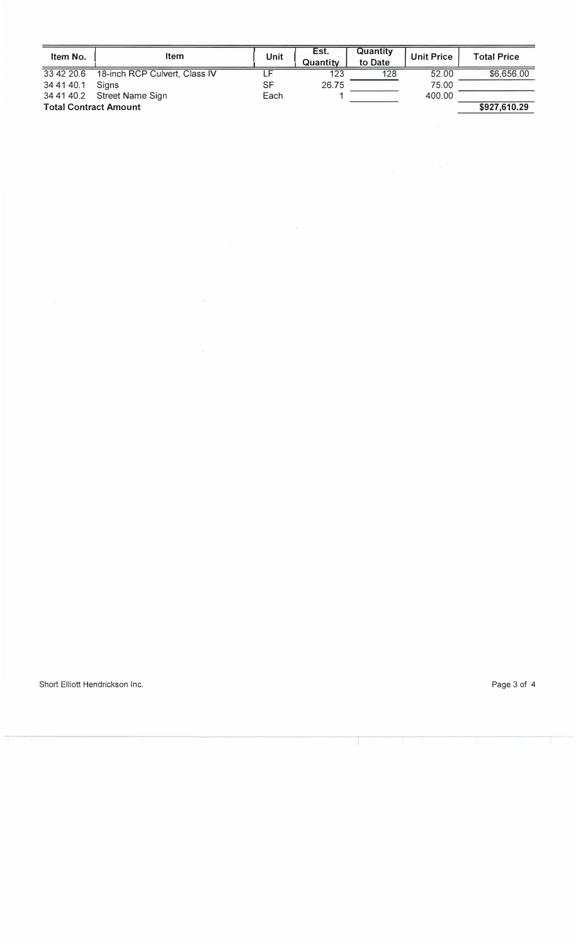| Item No.                     | <b>Item</b>                   | Unit | Est.<br>Quantity | Quantity<br>to Date | <b>Unit Price</b> | <b>Total Price</b> |
|------------------------------|-------------------------------|------|------------------|---------------------|-------------------|--------------------|
| 33 42 20.6                   | 18-inch RCP Culvert, Class IV |      | 123              | 128                 | 52.00             | \$6,656.00         |
| 34 41 40.1                   | <b>Signs</b>                  | SF   | 26.75            |                     | 75.00             |                    |
| 34 41 40.2                   | Street Name Sign              | Each |                  |                     | 400.00            |                    |
| <b>Total Contract Amount</b> |                               |      |                  |                     |                   | \$927,610.29       |

 $\epsilon$ 

T

 $\overline{\mathcal{A}}$ 

Short Elliott Hendrickson Inc. **Page 3 of 4**